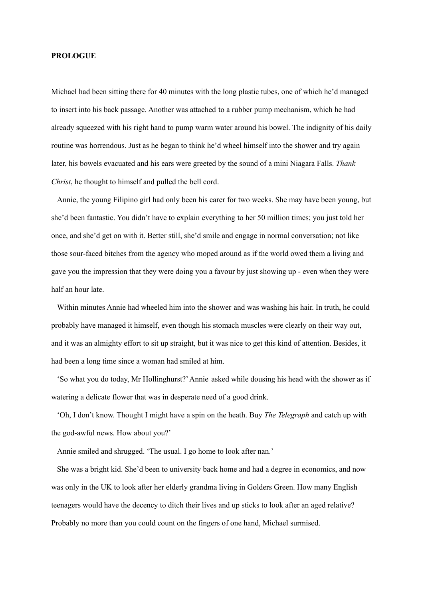#### **PROLOGUE**

Michael had been sitting there for 40 minutes with the long plastic tubes, one of which he'd managed to insert into his back passage. Another was attached to a rubber pump mechanism, which he had already squeezed with his right hand to pump warm water around his bowel. The indignity of his daily routine was horrendous. Just as he began to think he'd wheel himself into the shower and try again later, his bowels evacuated and his ears were greeted by the sound of a mini Niagara Falls. *Thank Christ*, he thought to himself and pulled the bell cord.

Annie, the young Filipino girl had only been his carer for two weeks. She may have been young, but she'd been fantastic. You didn't have to explain everything to her 50 million times; you just told her once, and she'd get on with it. Better still, she'd smile and engage in normal conversation; not like those sour-faced bitches from the agency who moped around as if the world owed them a living and gave you the impression that they were doing you a favour by just showing up - even when they were half an hour late.

Within minutes Annie had wheeled him into the shower and was washing his hair. In truth, he could probably have managed it himself, even though his stomach muscles were clearly on their way out, and it was an almighty effort to sit up straight, but it was nice to get this kind of attention. Besides, it had been a long time since a woman had smiled at him.

'So what you do today, Mr Hollinghurst?'Annie asked while dousing his head with the shower as if watering a delicate flower that was in desperate need of a good drink.

'Oh, I don't know. Thought I might have a spin on the heath. Buy *The Telegraph* and catch up with the god-awful news. How about you?'

Annie smiled and shrugged. 'The usual. I go home to look after nan.'

She was a bright kid. She'd been to university back home and had a degree in economics, and now was only in the UK to look after her elderly grandma living in Golders Green. How many English teenagers would have the decency to ditch their lives and up sticks to look after an aged relative? Probably no more than you could count on the fingers of one hand, Michael surmised.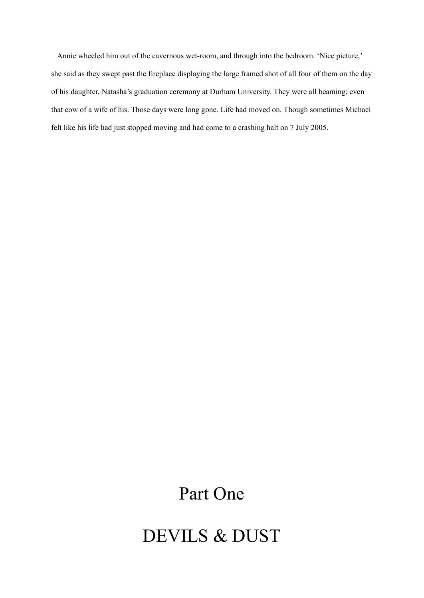Annie wheeled him out of the cavernous wet-room, and through into the bedroom. 'Nice picture,' she said as they swept past the fireplace displaying the large framed shot of all four of them on the day of his daughter, Natasha's graduation ceremony at Durham University. They were all beaming; even that cow of a wife of his. Those days were long gone. Life had moved on. Though sometimes Michael felt like his life had just stopped moving and had come to a crashing halt on 7 July 2005.

# Part One

## DEVILS & DUST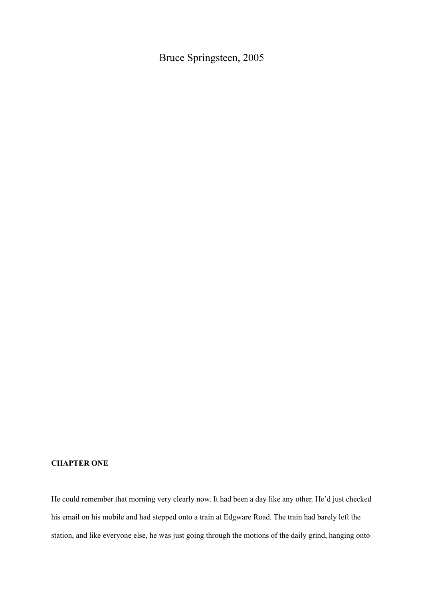Bruce Springsteen, 2005

### **CHAPTER ONE**

He could remember that morning very clearly now. It had been a day like any other. He'd just checked his email on his mobile and had stepped onto a train at Edgware Road. The train had barely left the station, and like everyone else, he was just going through the motions of the daily grind, hanging onto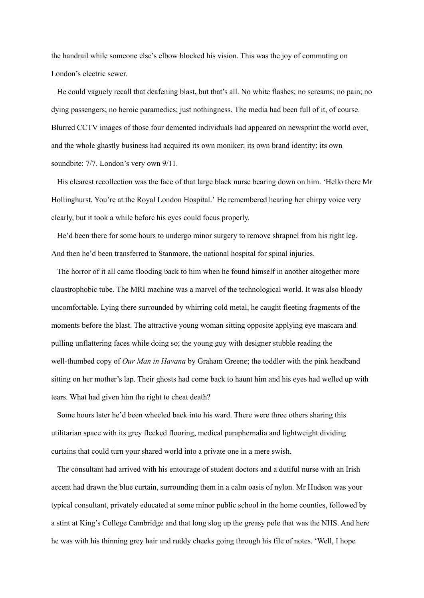the handrail while someone else's elbow blocked his vision. This was the joy of commuting on London's electric sewer.

He could vaguely recall that deafening blast, but that's all. No white flashes; no screams; no pain; no dying passengers; no heroic paramedics; just nothingness. The media had been full of it, of course. Blurred CCTV images of those four demented individuals had appeared on newsprint the world over, and the whole ghastly business had acquired its own moniker; its own brand identity; its own soundbite: 7/7. London's very own 9/11.

His clearest recollection was the face of that large black nurse bearing down on him. 'Hello there Mr Hollinghurst. You're at the Royal London Hospital.' He remembered hearing her chirpy voice very clearly, but it took a while before his eyes could focus properly.

He'd been there for some hours to undergo minor surgery to remove shrapnel from his right leg. And then he'd been transferred to Stanmore, the national hospital for spinal injuries.

The horror of it all came flooding back to him when he found himself in another altogether more claustrophobic tube. The MRI machine was a marvel of the technological world. It was also bloody uncomfortable. Lying there surrounded by whirring cold metal, he caught fleeting fragments of the moments before the blast. The attractive young woman sitting opposite applying eye mascara and pulling unflattering faces while doing so; the young guy with designer stubble reading the well-thumbed copy of *Our Man in Havana* by Graham Greene; the toddler with the pink headband sitting on her mother's lap. Their ghosts had come back to haunt him and his eyes had welled up with tears. What had given him the right to cheat death?

Some hours later he'd been wheeled back into his ward. There were three others sharing this utilitarian space with its grey flecked flooring, medical paraphernalia and lightweight dividing curtains that could turn your shared world into a private one in a mere swish.

The consultant had arrived with his entourage of student doctors and a dutiful nurse with an Irish accent had drawn the blue curtain, surrounding them in a calm oasis of nylon. Mr Hudson was your typical consultant, privately educated at some minor public school in the home counties, followed by a stint at King's College Cambridge and that long slog up the greasy pole that was the NHS. And here he was with his thinning grey hair and ruddy cheeks going through his file of notes. 'Well, I hope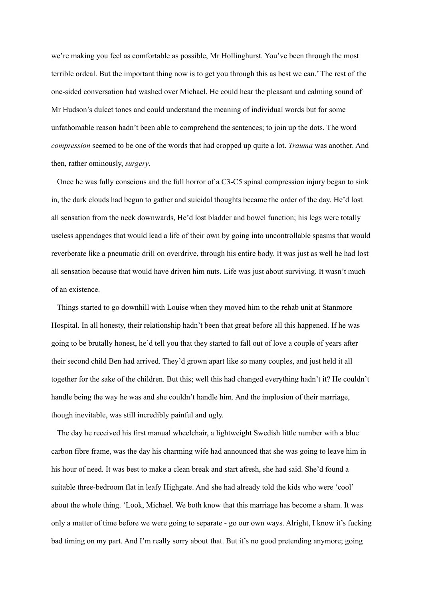we're making you feel as comfortable as possible, Mr Hollinghurst. You've been through the most terrible ordeal. But the important thing now is to get you through this as best we can.' The rest of the one-sided conversation had washed over Michael. He could hear the pleasant and calming sound of Mr Hudson's dulcet tones and could understand the meaning of individual words but for some unfathomable reason hadn't been able to comprehend the sentences; to join up the dots. The word *compression* seemed to be one of the words that had cropped up quite a lot. *Trauma* was another. And then, rather ominously, *surgery*.

Once he was fully conscious and the full horror of a C3-C5 spinal compression injury began to sink in, the dark clouds had begun to gather and suicidal thoughts became the order of the day. He'd lost all sensation from the neck downwards, He'd lost bladder and bowel function; his legs were totally useless appendages that would lead a life of their own by going into uncontrollable spasms that would reverberate like a pneumatic drill on overdrive, through his entire body. It was just as well he had lost all sensation because that would have driven him nuts. Life was just about surviving. It wasn't much of an existence.

Things started to go downhill with Louise when they moved him to the rehab unit at Stanmore Hospital. In all honesty, their relationship hadn't been that great before all this happened. If he was going to be brutally honest, he'd tell you that they started to fall out of love a couple of years after their second child Ben had arrived. They'd grown apart like so many couples, and just held it all together for the sake of the children. But this; well this had changed everything hadn't it? He couldn't handle being the way he was and she couldn't handle him. And the implosion of their marriage, though inevitable, was still incredibly painful and ugly.

The day he received his first manual wheelchair, a lightweight Swedish little number with a blue carbon fibre frame, was the day his charming wife had announced that she was going to leave him in his hour of need. It was best to make a clean break and start afresh, she had said. She'd found a suitable three-bedroom flat in leafy Highgate. And she had already told the kids who were 'cool' about the whole thing. 'Look, Michael. We both know that this marriage has become a sham. It was only a matter of time before we were going to separate - go our own ways. Alright, I know it's fucking bad timing on my part. And I'm really sorry about that. But it's no good pretending anymore; going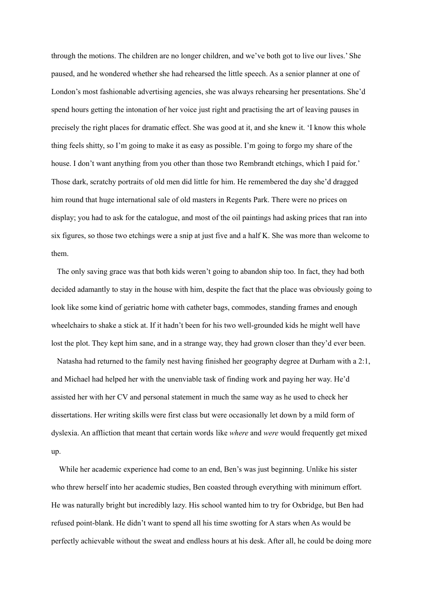through the motions. The children are no longer children, and we've both got to live our lives.' She paused, and he wondered whether she had rehearsed the little speech. As a senior planner at one of London's most fashionable advertising agencies, she was always rehearsing her presentations. She'd spend hours getting the intonation of her voice just right and practising the art of leaving pauses in precisely the right places for dramatic effect. She was good at it, and she knew it. 'I know this whole thing feels shitty, so I'm going to make it as easy as possible. I'm going to forgo my share of the house. I don't want anything from you other than those two Rembrandt etchings, which I paid for.' Those dark, scratchy portraits of old men did little for him. He remembered the day she'd dragged him round that huge international sale of old masters in Regents Park. There were no prices on display; you had to ask for the catalogue, and most of the oil paintings had asking prices that ran into six figures, so those two etchings were a snip at just five and a half K. She was more than welcome to them.

The only saving grace was that both kids weren't going to abandon ship too. In fact, they had both decided adamantly to stay in the house with him, despite the fact that the place was obviously going to look like some kind of geriatric home with catheter bags, commodes, standing frames and enough wheelchairs to shake a stick at. If it hadn't been for his two well-grounded kids he might well have lost the plot. They kept him sane, and in a strange way, they had grown closer than they'd ever been.

Natasha had returned to the family nest having finished her geography degree at Durham with a 2:1, and Michael had helped her with the unenviable task of finding work and paying her way. He'd assisted her with her CV and personal statement in much the same way as he used to check her dissertations. Her writing skills were first class but were occasionally let down by a mild form of dyslexia. An affliction that meant that certain words like *where* and *were* would frequently get mixed up.

While her academic experience had come to an end, Ben's was just beginning. Unlike his sister who threw herself into her academic studies, Ben coasted through everything with minimum effort. He was naturally bright but incredibly lazy. His school wanted him to try for Oxbridge, but Ben had refused point-blank. He didn't want to spend all his time swotting for A stars when As would be perfectly achievable without the sweat and endless hours at his desk. After all, he could be doing more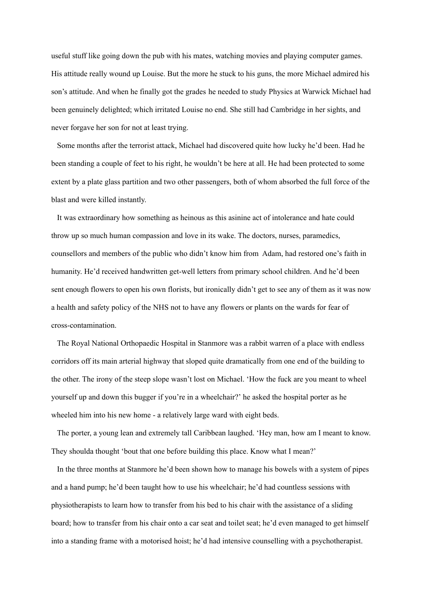useful stuff like going down the pub with his mates, watching movies and playing computer games. His attitude really wound up Louise. But the more he stuck to his guns, the more Michael admired his son's attitude. And when he finally got the grades he needed to study Physics at Warwick Michael had been genuinely delighted; which irritated Louise no end. She still had Cambridge in her sights, and never forgave her son for not at least trying.

Some months after the terrorist attack, Michael had discovered quite how lucky he'd been. Had he been standing a couple of feet to his right, he wouldn't be here at all. He had been protected to some extent by a plate glass partition and two other passengers, both of whom absorbed the full force of the blast and were killed instantly.

It was extraordinary how something as heinous as this asinine act of intolerance and hate could throw up so much human compassion and love in its wake. The doctors, nurses, paramedics, counsellors and members of the public who didn't know him from Adam, had restored one's faith in humanity. He'd received handwritten get-well letters from primary school children. And he'd been sent enough flowers to open his own florists, but ironically didn't get to see any of them as it was now a health and safety policy of the NHS not to have any flowers or plants on the wards for fear of cross-contamination.

The Royal National Orthopaedic Hospital in Stanmore was a rabbit warren of a place with endless corridors off its main arterial highway that sloped quite dramatically from one end of the building to the other. The irony of the steep slope wasn't lost on Michael. 'How the fuck are you meant to wheel yourself up and down this bugger if you're in a wheelchair?' he asked the hospital porter as he wheeled him into his new home - a relatively large ward with eight beds.

The porter, a young lean and extremely tall Caribbean laughed. 'Hey man, how am I meant to know. They shoulda thought 'bout that one before building this place. Know what I mean?'

In the three months at Stanmore he'd been shown how to manage his bowels with a system of pipes and a hand pump; he'd been taught how to use his wheelchair; he'd had countless sessions with physiotherapists to learn how to transfer from his bed to his chair with the assistance of a sliding board; how to transfer from his chair onto a car seat and toilet seat; he'd even managed to get himself into a standing frame with a motorised hoist; he'd had intensive counselling with a psychotherapist.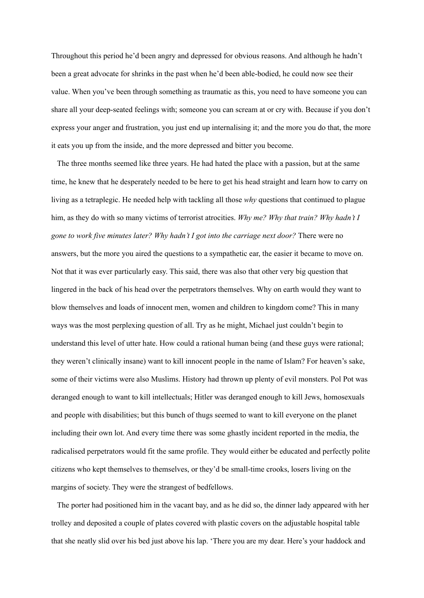Throughout this period he'd been angry and depressed for obvious reasons. And although he hadn't been a great advocate for shrinks in the past when he'd been able-bodied, he could now see their value. When you've been through something as traumatic as this, you need to have someone you can share all your deep-seated feelings with; someone you can scream at or cry with. Because if you don't express your anger and frustration, you just end up internalising it; and the more you do that, the more it eats you up from the inside, and the more depressed and bitter you become.

The three months seemed like three years. He had hated the place with a passion, but at the same time, he knew that he desperately needed to be here to get his head straight and learn how to carry on living as a tetraplegic. He needed help with tackling all those *why* questions that continued to plague him, as they do with so many victims of terrorist atrocities. *Why me? Why that train? Why hadn't I gone to work five minutes later? Why hadn't I got into the carriage next door?* There were no answers, but the more you aired the questions to a sympathetic ear, the easier it became to move on. Not that it was ever particularly easy. This said, there was also that other very big question that lingered in the back of his head over the perpetrators themselves. Why on earth would they want to blow themselves and loads of innocent men, women and children to kingdom come? This in many ways was the most perplexing question of all. Try as he might, Michael just couldn't begin to understand this level of utter hate. How could a rational human being (and these guys were rational; they weren't clinically insane) want to kill innocent people in the name of Islam? For heaven's sake, some of their victims were also Muslims. History had thrown up plenty of evil monsters. Pol Pot was deranged enough to want to kill intellectuals; Hitler was deranged enough to kill Jews, homosexuals and people with disabilities; but this bunch of thugs seemed to want to kill everyone on the planet including their own lot. And every time there was some ghastly incident reported in the media, the radicalised perpetrators would fit the same profile. They would either be educated and perfectly polite citizens who kept themselves to themselves, or they'd be small-time crooks, losers living on the margins of society. They were the strangest of bedfellows.

The porter had positioned him in the vacant bay, and as he did so, the dinner lady appeared with her trolley and deposited a couple of plates covered with plastic covers on the adjustable hospital table that she neatly slid over his bed just above his lap. 'There you are my dear. Here's your haddock and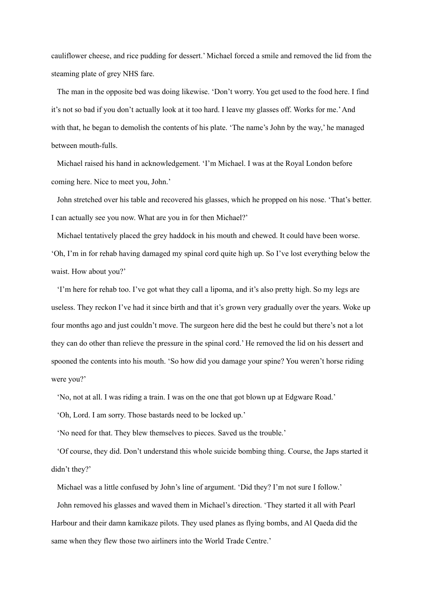cauliflower cheese, and rice pudding for dessert.' Michael forced a smile and removed the lid from the steaming plate of grey NHS fare.

The man in the opposite bed was doing likewise. 'Don't worry. You get used to the food here. I find it's not so bad if you don't actually look at it too hard. I leave my glasses off. Works for me.'And with that, he began to demolish the contents of his plate. 'The name's John by the way,' he managed between mouth-fulls.

Michael raised his hand in acknowledgement. 'I'm Michael. I was at the Royal London before coming here. Nice to meet you, John.'

John stretched over his table and recovered his glasses, which he propped on his nose. 'That's better. I can actually see you now. What are you in for then Michael?'

Michael tentatively placed the grey haddock in his mouth and chewed. It could have been worse. 'Oh, I'm in for rehab having damaged my spinal cord quite high up. So I've lost everything below the waist. How about you?'

'I'm here for rehab too. I've got what they call a lipoma, and it's also pretty high. So my legs are useless. They reckon I've had it since birth and that it's grown very gradually over the years. Woke up four months ago and just couldn't move. The surgeon here did the best he could but there's not a lot they can do other than relieve the pressure in the spinal cord.' He removed the lid on his dessert and spooned the contents into his mouth. 'So how did you damage your spine? You weren't horse riding were you?'

'No, not at all. I was riding a train. I was on the one that got blown up at Edgware Road.'

'Oh, Lord. I am sorry. Those bastards need to be locked up.'

'No need for that. They blew themselves to pieces. Saved us the trouble.'

'Of course, they did. Don't understand this whole suicide bombing thing. Course, the Japs started it didn't they?'

Michael was a little confused by John's line of argument. 'Did they? I'm not sure I follow.'

John removed his glasses and waved them in Michael's direction. 'They started it all with Pearl Harbour and their damn kamikaze pilots. They used planes as flying bombs, and Al Qaeda did the same when they flew those two airliners into the World Trade Centre.'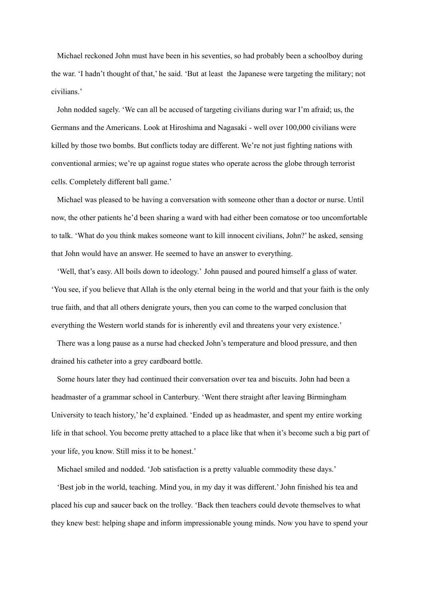Michael reckoned John must have been in his seventies, so had probably been a schoolboy during the war. 'I hadn't thought of that,' he said. 'But at least the Japanese were targeting the military; not civilians.'

John nodded sagely. 'We can all be accused of targeting civilians during war I'm afraid; us, the Germans and the Americans. Look at Hiroshima and Nagasaki - well over 100,000 civilians were killed by those two bombs. But conflicts today are different. We're not just fighting nations with conventional armies; we're up against rogue states who operate across the globe through terrorist cells. Completely different ball game.'

Michael was pleased to be having a conversation with someone other than a doctor or nurse. Until now, the other patients he'd been sharing a ward with had either been comatose or too uncomfortable to talk. 'What do you think makes someone want to kill innocent civilians, John?' he asked, sensing that John would have an answer. He seemed to have an answer to everything.

'Well, that's easy. All boils down to ideology.' John paused and poured himself a glass of water. 'You see, if you believe that Allah is the only eternal being in the world and that your faith is the only true faith, and that all others denigrate yours, then you can come to the warped conclusion that everything the Western world stands for is inherently evil and threatens your very existence.'

There was a long pause as a nurse had checked John's temperature and blood pressure, and then drained his catheter into a grey cardboard bottle.

Some hours later they had continued their conversation over tea and biscuits. John had been a headmaster of a grammar school in Canterbury. 'Went there straight after leaving Birmingham University to teach history,' he'd explained. 'Ended up as headmaster, and spent my entire working life in that school. You become pretty attached to a place like that when it's become such a big part of your life, you know. Still miss it to be honest.'

Michael smiled and nodded. 'Job satisfaction is a pretty valuable commodity these days.'

'Best job in the world, teaching. Mind you, in my day it was different.'John finished his tea and placed his cup and saucer back on the trolley. 'Back then teachers could devote themselves to what they knew best: helping shape and inform impressionable young minds. Now you have to spend your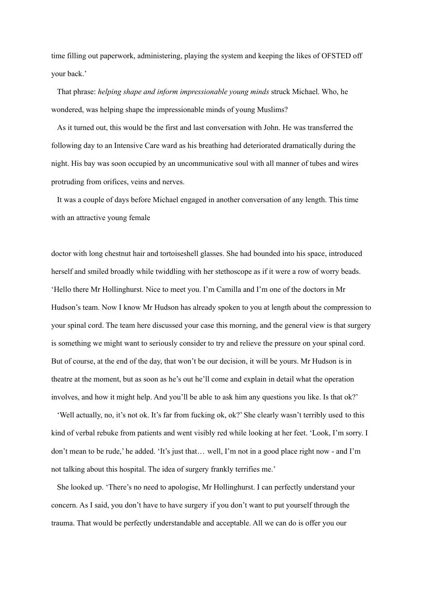time filling out paperwork, administering, playing the system and keeping the likes of OFSTED off your back.'

That phrase: *helping shape and inform impressionable young minds* struck Michael. Who, he wondered, was helping shape the impressionable minds of young Muslims?

As it turned out, this would be the first and last conversation with John. He was transferred the following day to an Intensive Care ward as his breathing had deteriorated dramatically during the night. His bay was soon occupied by an uncommunicative soul with all manner of tubes and wires protruding from orifices, veins and nerves.

It was a couple of days before Michael engaged in another conversation of any length. This time with an attractive young female

doctor with long chestnut hair and tortoiseshell glasses. She had bounded into his space, introduced herself and smiled broadly while twiddling with her stethoscope as if it were a row of worry beads. 'Hello there Mr Hollinghurst. Nice to meet you. I'm Camilla and I'm one of the doctors in Mr Hudson's team. Now I know Mr Hudson has already spoken to you at length about the compression to your spinal cord. The team here discussed your case this morning, and the general view is that surgery is something we might want to seriously consider to try and relieve the pressure on your spinal cord. But of course, at the end of the day, that won't be our decision, it will be yours. Mr Hudson is in theatre at the moment, but as soon as he's out he'll come and explain in detail what the operation involves, and how it might help. And you'll be able to ask him any questions you like. Is that ok?'

'Well actually, no, it's not ok. It's far from fucking ok, ok?' She clearly wasn't terribly used to this kind of verbal rebuke from patients and went visibly red while looking at her feet. 'Look, I'm sorry. I don't mean to be rude,' he added. 'It's just that… well, I'm not in a good place right now - and I'm not talking about this hospital. The idea of surgery frankly terrifies me.'

She looked up. 'There's no need to apologise, Mr Hollinghurst. I can perfectly understand your concern. As I said, you don't have to have surgery if you don't want to put yourself through the trauma. That would be perfectly understandable and acceptable. All we can do is offer you our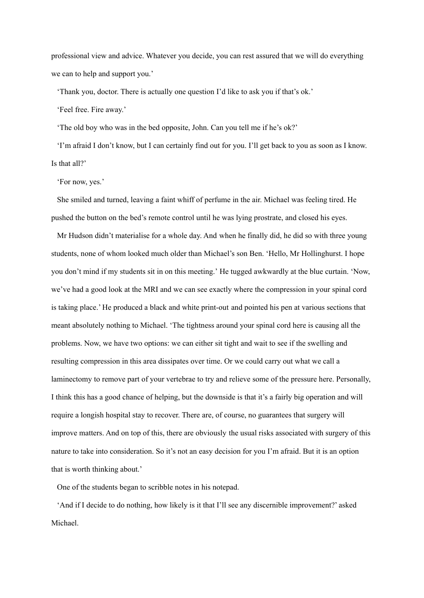professional view and advice. Whatever you decide, you can rest assured that we will do everything we can to help and support you.'

'Thank you, doctor. There is actually one question I'd like to ask you if that's ok.'

'Feel free. Fire away.'

'The old boy who was in the bed opposite, John. Can you tell me if he's ok?'

'I'm afraid I don't know, but I can certainly find out for you. I'll get back to you as soon as I know. Is that all?'

'For now, yes.'

She smiled and turned, leaving a faint whiff of perfume in the air. Michael was feeling tired. He pushed the button on the bed's remote control until he was lying prostrate, and closed his eyes.

Mr Hudson didn't materialise for a whole day. And when he finally did, he did so with three young students, none of whom looked much older than Michael's son Ben. 'Hello, Mr Hollinghurst. I hope you don't mind if my students sit in on this meeting.' He tugged awkwardly at the blue curtain. 'Now, we've had a good look at the MRI and we can see exactly where the compression in your spinal cord is taking place.' He produced a black and white print-out and pointed his pen at various sections that meant absolutely nothing to Michael. 'The tightness around your spinal cord here is causing all the problems. Now, we have two options: we can either sit tight and wait to see if the swelling and resulting compression in this area dissipates over time. Or we could carry out what we call a laminectomy to remove part of your vertebrae to try and relieve some of the pressure here. Personally, I think this has a good chance of helping, but the downside is that it's a fairly big operation and will require a longish hospital stay to recover. There are, of course, no guarantees that surgery will improve matters. And on top of this, there are obviously the usual risks associated with surgery of this nature to take into consideration. So it's not an easy decision for you I'm afraid. But it is an option that is worth thinking about.'

One of the students began to scribble notes in his notepad.

'And if I decide to do nothing, how likely is it that I'll see any discernible improvement?' asked Michael.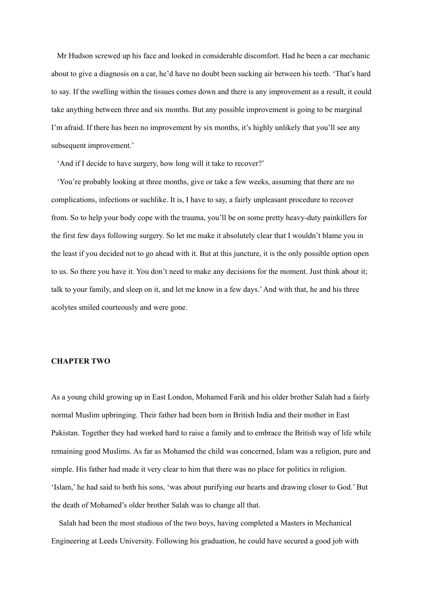Mr Hudson screwed up his face and looked in considerable discomfort. Had he been a car mechanic about to give a diagnosis on a car, he'd have no doubt been sucking air between his teeth. 'That's hard to say. If the swelling within the tissues comes down and there is any improvement as a result, it could take anything between three and six months. But any possible improvement is going to be marginal I'm afraid. If there has been no improvement by six months, it's highly unlikely that you'll see any subsequent improvement.'

'And if I decide to have surgery, how long will it take to recover?'

'You're probably looking at three months, give or take a few weeks, assuming that there are no complications, infections or suchlike. It is, I have to say, a fairly unpleasant procedure to recover from. So to help your body cope with the trauma, you'll be on some pretty heavy-duty painkillers for the first few days following surgery. So let me make it absolutely clear that I wouldn't blame you in the least if you decided not to go ahead with it. But at this juncture, it is the only possible option open to us. So there you have it. You don't need to make any decisions for the moment. Just think about it; talk to your family, and sleep on it, and let me know in a few days.'And with that, he and his three acolytes smiled courteously and were gone.

### **CHAPTER TWO**

As a young child growing up in East London, Mohamed Farik and his older brother Salah had a fairly normal Muslim upbringing. Their father had been born in British India and their mother in East Pakistan. Together they had worked hard to raise a family and to embrace the British way of life while remaining good Muslims. As far as Mohamed the child was concerned, Islam was a religion, pure and simple. His father had made it very clear to him that there was no place for politics in religion. 'Islam,' he had said to both his sons, 'was about purifying our hearts and drawing closer to God.' But the death of Mohamed's older brother Salah was to change all that.

Salah had been the most studious of the two boys, having completed a Masters in Mechanical Engineering at Leeds University. Following his graduation, he could have secured a good job with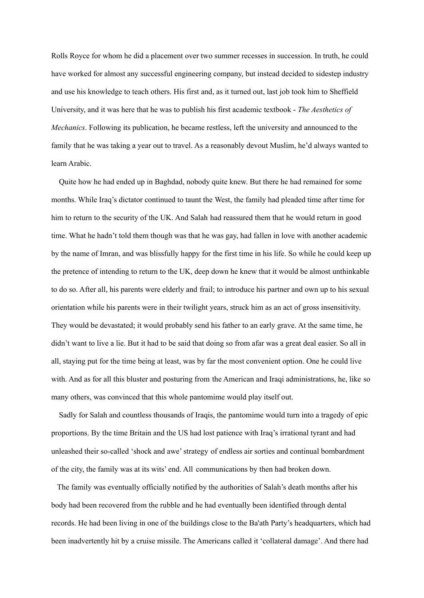Rolls Royce for whom he did a placement over two summer recesses in succession. In truth, he could have worked for almost any successful engineering company, but instead decided to sidestep industry and use his knowledge to teach others. His first and, as it turned out, last job took him to Sheffield University, and it was here that he was to publish his first academic textbook - *The Aesthetics of Mechanics*. Following its publication, he became restless, left the university and announced to the family that he was taking a year out to travel. As a reasonably devout Muslim, he'd always wanted to learn Arabic.

Quite how he had ended up in Baghdad, nobody quite knew. But there he had remained for some months. While Iraq's dictator continued to taunt the West, the family had pleaded time after time for him to return to the security of the UK. And Salah had reassured them that he would return in good time. What he hadn't told them though was that he was gay, had fallen in love with another academic by the name of Imran, and was blissfully happy for the first time in his life. So while he could keep up the pretence of intending to return to the UK, deep down he knew that it would be almost unthinkable to do so. After all, his parents were elderly and frail; to introduce his partner and own up to his sexual orientation while his parents were in their twilight years, struck him as an act of gross insensitivity. They would be devastated; it would probably send his father to an early grave. At the same time, he didn't want to live a lie. But it had to be said that doing so from afar was a great deal easier. So all in all, staying put for the time being at least, was by far the most convenient option. One he could live with. And as for all this bluster and posturing from the American and Iraqi administrations, he, like so many others, was convinced that this whole pantomime would play itself out.

Sadly for Salah and countless thousands of Iraqis, the pantomime would turn into a tragedy of epic proportions. By the time Britain and the US had lost patience with Iraq's irrational tyrant and had unleashed their so-called 'shock and awe'strategy of endless air sorties and continual bombardment of the city, the family was at its wits' end. All communications by then had broken down.

The family was eventually officially notified by the authorities of Salah's death months after his body had been recovered from the rubble and he had eventually been identified through dental records. He had been living in one of the buildings close to the Ba'ath Party's headquarters, which had been inadvertently hit by a cruise missile. The Americans called it 'collateral damage'. And there had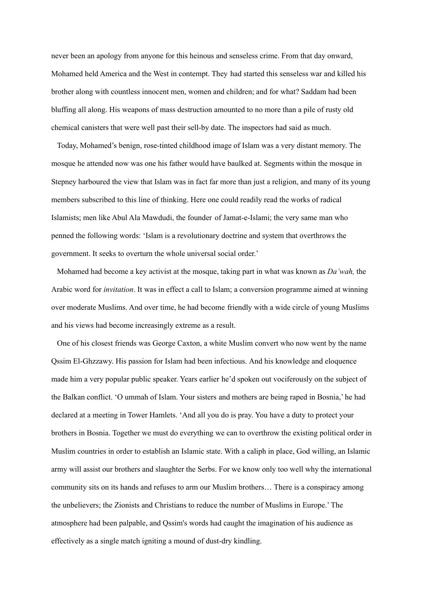never been an apology from anyone for this heinous and senseless crime. From that day onward, Mohamed held America and the West in contempt. They had started this senseless war and killed his brother along with countless innocent men, women and children; and for what? Saddam had been bluffing all along. His weapons of mass destruction amounted to no more than a pile of rusty old chemical canisters that were well past their sell-by date. The inspectors had said as much.

Today, Mohamed's benign, rose-tinted childhood image of Islam was a very distant memory. The mosque he attended now was one his father would have baulked at. Segments within the mosque in Stepney harboured the view that Islam was in fact far more than just a religion, and many of its young members subscribed to this line of thinking. Here one could readily read the works of radical Islamists; men like Abul Ala Mawdudi, the founder of Jamat-e-Islami; the very same man who penned the following words: 'Islam is a revolutionary doctrine and system that overthrows the government. It seeks to overturn the whole universal social order.'

Mohamed had become a key activist at the mosque, taking part in what was known as *Da'wah,* the Arabic word for *invitation*. It was in effect a call to Islam; a conversion programme aimed at winning over moderate Muslims. And over time, he had become friendly with a wide circle of young Muslims and his views had become increasingly extreme as a result.

One of his closest friends was George Caxton, a white Muslim convert who now went by the name Qssim El-Ghzzawy. His passion for Islam had been infectious. And his knowledge and eloquence made him a very popular public speaker. Years earlier he'd spoken out vociferously on the subject of the Balkan conflict. 'O ummah of Islam. Your sisters and mothers are being raped in Bosnia,' he had declared at a meeting in Tower Hamlets. 'And all you do is pray. You have a duty to protect your brothers in Bosnia. Together we must do everything we can to overthrow the existing political order in Muslim countries in order to establish an Islamic state. With a caliph in place, God willing, an Islamic army will assist our brothers and slaughter the Serbs. For we know only too well why the international community sits on its hands and refuses to arm our Muslim brothers… There is a conspiracy among the unbelievers; the Zionists and Christians to reduce the number of Muslims in Europe.' The atmosphere had been palpable, and Qssim's words had caught the imagination of his audience as effectively as a single match igniting a mound of dust-dry kindling.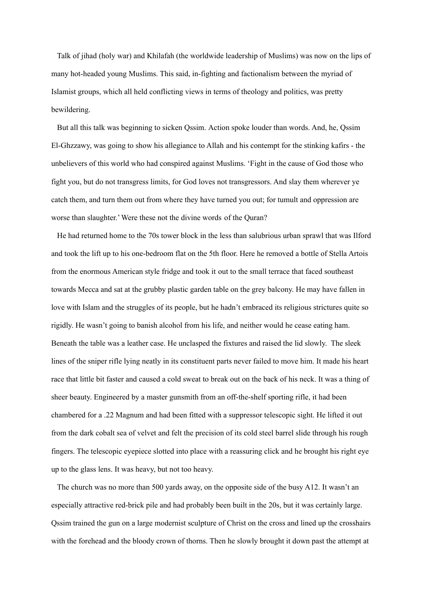Talk of jihad (holy war) and Khilafah (the worldwide leadership of Muslims) was now on the lips of many hot-headed young Muslims. This said, in-fighting and factionalism between the myriad of Islamist groups, which all held conflicting views in terms of theology and politics, was pretty bewildering.

But all this talk was beginning to sicken Qssim. Action spoke louder than words. And, he, Qssim El-Ghzzawy, was going to show his allegiance to Allah and his contempt for the stinking kafirs - the unbelievers of this world who had conspired against Muslims. 'Fight in the cause of God those who fight you, but do not transgress limits, for God loves not transgressors. And slay them wherever ye catch them, and turn them out from where they have turned you out; for tumult and oppression are worse than slaughter.' Were these not the divine words of the Quran?

He had returned home to the 70s tower block in the less than salubrious urban sprawl that was Ilford and took the lift up to his one-bedroom flat on the 5th floor. Here he removed a bottle of Stella Artois from the enormous American style fridge and took it out to the small terrace that faced southeast towards Mecca and sat at the grubby plastic garden table on the grey balcony. He may have fallen in love with Islam and the struggles of its people, but he hadn't embraced its religious strictures quite so rigidly. He wasn't going to banish alcohol from his life, and neither would he cease eating ham. Beneath the table was a leather case. He unclasped the fixtures and raised the lid slowly. The sleek lines of the sniper rifle lying neatly in its constituent parts never failed to move him. It made his heart race that little bit faster and caused a cold sweat to break out on the back of his neck. It was a thing of sheer beauty. Engineered by a master gunsmith from an off-the-shelf sporting rifle, it had been chambered for a .22 Magnum and had been fitted with a suppressor telescopic sight. He lifted it out from the dark cobalt sea of velvet and felt the precision of its cold steel barrel slide through his rough fingers. The telescopic eyepiece slotted into place with a reassuring click and he brought his right eye up to the glass lens. It was heavy, but not too heavy.

The church was no more than 500 yards away, on the opposite side of the busy A12. It wasn't an especially attractive red-brick pile and had probably been built in the 20s, but it was certainly large. Qssim trained the gun on a large modernist sculpture of Christ on the cross and lined up the crosshairs with the forehead and the bloody crown of thorns. Then he slowly brought it down past the attempt at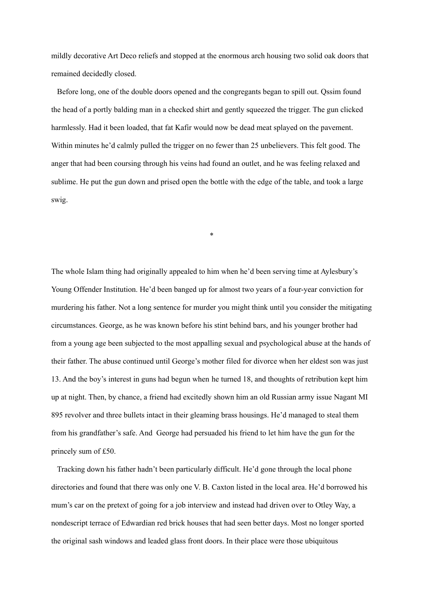mildly decorative Art Deco reliefs and stopped at the enormous arch housing two solid oak doors that remained decidedly closed.

Before long, one of the double doors opened and the congregants began to spill out. Qssim found the head of a portly balding man in a checked shirt and gently squeezed the trigger. The gun clicked harmlessly. Had it been loaded, that fat Kafir would now be dead meat splayed on the pavement. Within minutes he'd calmly pulled the trigger on no fewer than 25 unbelievers. This felt good. The anger that had been coursing through his veins had found an outlet, and he was feeling relaxed and sublime. He put the gun down and prised open the bottle with the edge of the table, and took a large swig.

\*

The whole Islam thing had originally appealed to him when he'd been serving time at Aylesbury's Young Offender Institution. He'd been banged up for almost two years of a four-year conviction for murdering his father. Not a long sentence for murder you might think until you consider the mitigating circumstances. George, as he was known before his stint behind bars, and his younger brother had from a young age been subjected to the most appalling sexual and psychological abuse at the hands of their father. The abuse continued until George's mother filed for divorce when her eldest son was just 13. And the boy's interest in guns had begun when he turned 18, and thoughts of retribution kept him up at night. Then, by chance, a friend had excitedly shown him an old Russian army issue Nagant MI 895 revolver and three bullets intact in their gleaming brass housings. He'd managed to steal them from his grandfather's safe. And George had persuaded his friend to let him have the gun for the princely sum of £50.

Tracking down his father hadn't been particularly difficult. He'd gone through the local phone directories and found that there was only one V. B. Caxton listed in the local area. He'd borrowed his mum's car on the pretext of going for a job interview and instead had driven over to Otley Way, a nondescript terrace of Edwardian red brick houses that had seen better days. Most no longer sported the original sash windows and leaded glass front doors. In their place were those ubiquitous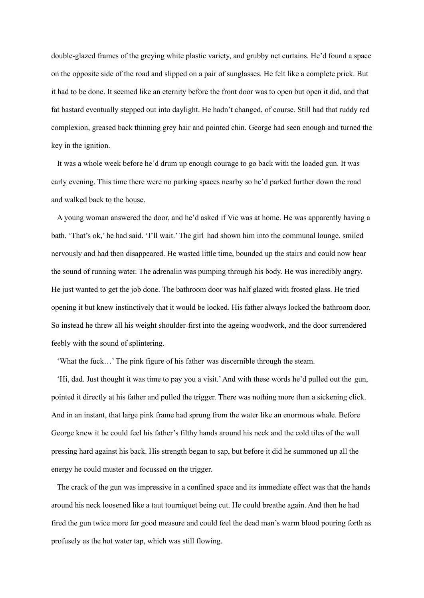double-glazed frames of the greying white plastic variety, and grubby net curtains. He'd found a space on the opposite side of the road and slipped on a pair of sunglasses. He felt like a complete prick. But it had to be done. It seemed like an eternity before the front door was to open but open it did, and that fat bastard eventually stepped out into daylight. He hadn't changed, of course. Still had that ruddy red complexion, greased back thinning grey hair and pointed chin. George had seen enough and turned the key in the ignition.

It was a whole week before he'd drum up enough courage to go back with the loaded gun. It was early evening. This time there were no parking spaces nearby so he'd parked further down the road and walked back to the house.

A young woman answered the door, and he'd asked if Vic was at home. He was apparently having a bath. 'That's ok,' he had said. 'I'll wait.' The girl had shown him into the communal lounge, smiled nervously and had then disappeared. He wasted little time, bounded up the stairs and could now hear the sound of running water. The adrenalin was pumping through his body. He was incredibly angry. He just wanted to get the job done. The bathroom door was half glazed with frosted glass. He tried opening it but knew instinctively that it would be locked. His father always locked the bathroom door. So instead he threw all his weight shoulder-first into the ageing woodwork, and the door surrendered feebly with the sound of splintering.

'What the fuck…' The pink figure of his father was discernible through the steam.

'Hi, dad. Just thought it was time to pay you a visit.'And with these words he'd pulled out the gun, pointed it directly at his father and pulled the trigger. There was nothing more than a sickening click. And in an instant, that large pink frame had sprung from the water like an enormous whale. Before George knew it he could feel his father's filthy hands around his neck and the cold tiles of the wall pressing hard against his back. His strength began to sap, but before it did he summoned up all the energy he could muster and focussed on the trigger.

The crack of the gun was impressive in a confined space and its immediate effect was that the hands around his neck loosened like a taut tourniquet being cut. He could breathe again. And then he had fired the gun twice more for good measure and could feel the dead man's warm blood pouring forth as profusely as the hot water tap, which was still flowing.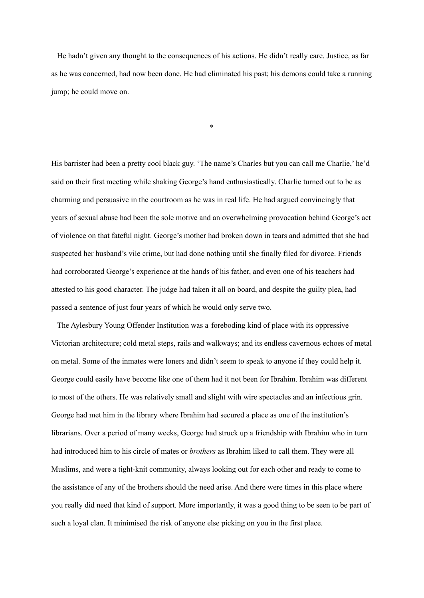He hadn't given any thought to the consequences of his actions. He didn't really care. Justice, as far as he was concerned, had now been done. He had eliminated his past; his demons could take a running jump; he could move on.

\*

His barrister had been a pretty cool black guy. 'The name's Charles but you can call me Charlie,' he'd said on their first meeting while shaking George's hand enthusiastically. Charlie turned out to be as charming and persuasive in the courtroom as he was in real life. He had argued convincingly that years of sexual abuse had been the sole motive and an overwhelming provocation behind George's act of violence on that fateful night. George's mother had broken down in tears and admitted that she had suspected her husband's vile crime, but had done nothing until she finally filed for divorce. Friends had corroborated George's experience at the hands of his father, and even one of his teachers had attested to his good character. The judge had taken it all on board, and despite the guilty plea, had passed a sentence of just four years of which he would only serve two.

The Aylesbury Young Offender Institution was a foreboding kind of place with its oppressive Victorian architecture; cold metal steps, rails and walkways; and its endless cavernous echoes of metal on metal. Some of the inmates were loners and didn't seem to speak to anyone if they could help it. George could easily have become like one of them had it not been for Ibrahim. Ibrahim was different to most of the others. He was relatively small and slight with wire spectacles and an infectious grin. George had met him in the library where Ibrahim had secured a place as one of the institution's librarians. Over a period of many weeks, George had struck up a friendship with Ibrahim who in turn had introduced him to his circle of mates or *brothers* as Ibrahim liked to call them. They were all Muslims, and were a tight-knit community, always looking out for each other and ready to come to the assistance of any of the brothers should the need arise. And there were times in this place where you really did need that kind of support. More importantly, it was a good thing to be seen to be part of such a loyal clan. It minimised the risk of anyone else picking on you in the first place.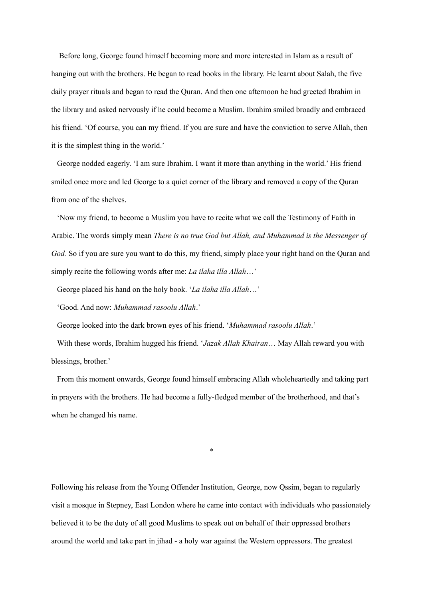Before long, George found himself becoming more and more interested in Islam as a result of hanging out with the brothers. He began to read books in the library. He learnt about Salah, the five daily prayer rituals and began to read the Quran. And then one afternoon he had greeted Ibrahim in the library and asked nervously if he could become a Muslim. Ibrahim smiled broadly and embraced his friend. 'Of course, you can my friend. If you are sure and have the conviction to serve Allah, then it is the simplest thing in the world.'

George nodded eagerly. 'I am sure Ibrahim. I want it more than anything in the world.' His friend smiled once more and led George to a quiet corner of the library and removed a copy of the Quran from one of the shelves.

'Now my friend, to become a Muslim you have to recite what we call the Testimony of Faith in Arabic. The words simply mean *There is no true God but Allah, and Muhammad is the Messenger of God.* So if you are sure you want to do this, my friend, simply place your right hand on the Ouran and simply recite the following words after me: *La ilaha illa Allah*…'

George placed his hand on the holy book. '*La ilaha illa Allah*…'

'Good. And now: *Muhammad rasoolu Allah*.'

George looked into the dark brown eyes of his friend. '*Muhammad rasoolu Allah*.'

With these words, Ibrahim hugged his friend. '*Jazak Allah Khairan*… May Allah reward you with blessings, brother.'

From this moment onwards, George found himself embracing Allah wholeheartedly and taking part in prayers with the brothers. He had become a fully-fledged member of the brotherhood, and that's when he changed his name.

\*

Following his release from the Young Offender Institution, George, now Qssim, began to regularly visit a mosque in Stepney, East London where he came into contact with individuals who passionately believed it to be the duty of all good Muslims to speak out on behalf of their oppressed brothers around the world and take part in jihad - a holy war against the Western oppressors. The greatest